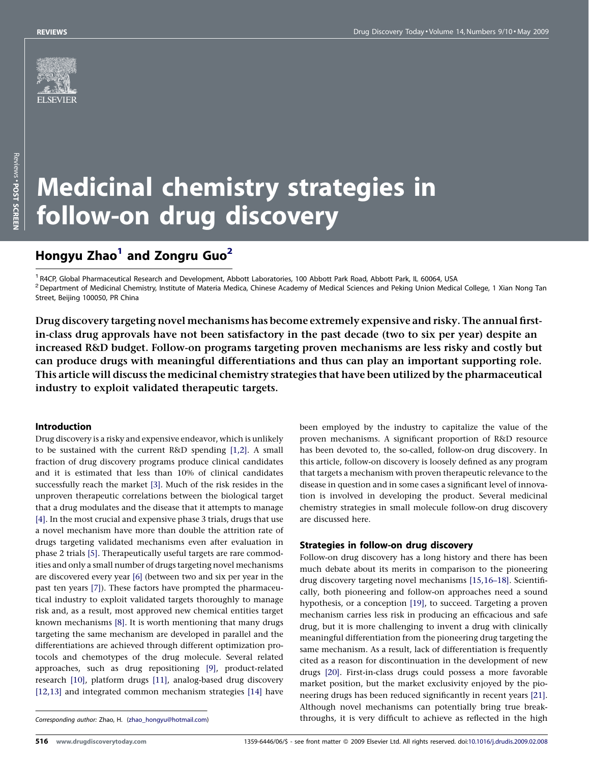

# Medicinal chemistry strategies in follow-on drug discovery

# Hongyu Zhao $1$  and Zongru Guo $2$

<sup>1</sup> R4CP, Global Pharmaceutical Research and Development, Abbott Laboratories, 100 Abbott Park Road, Abbott Park, IL 60064, USA  $^2$  Department of Medicinal Chemistry, Institute of Materia Medica, Chinese Academy of Medical Sciences and Peking Union Medical College, 1 Xian Nong Tan Street, Beijing 100050, PR China

Drug discovery targeting novel mechanisms has become extremely expensive and risky. The annual firstin-class drug approvals have not been satisfactory in the past decade (two to six per year) despite an increased R&D budget. Follow-on programs targeting proven mechanisms are less risky and costly but can produce drugs with meaningful differentiations and thus can play an important supporting role. This article will discuss the medicinal chemistry strategies that have been utilized by the pharmaceutical industry to exploit validated therapeutic targets.

# Introduction

Drug discovery is a risky and expensive endeavor, which is unlikely to be sustained with the current R&D spending [\[1,2\]](#page-5-0). A small fraction of drug discovery programs produce clinical candidates and it is estimated that less than 10% of clinical candidates successfully reach the market [\[3\]](#page-5-0). Much of the risk resides in the unproven therapeutic correlations between the biological target that a drug modulates and the disease that it attempts to manage [\[4\]](#page-5-0). In the most crucial and expensive phase 3 trials, drugs that use a novel mechanism have more than double the attrition rate of drugs targeting validated mechanisms even after evaluation in phase 2 trials [\[5\].](#page-5-0) Therapeutically useful targets are rare commodities and only a small number of drugs targeting novel mechanisms are discovered every year [\[6\]](#page-6-0) (between two and six per year in the past ten years [\[7\]](#page-6-0)). These factors have prompted the pharmaceutical industry to exploit validated targets thoroughly to manage risk and, as a result, most approved new chemical entities target known mechanisms [\[8\].](#page-6-0) It is worth mentioning that many drugs targeting the same mechanism are developed in parallel and the differentiations are achieved through different optimization protocols and chemotypes of the drug molecule. Several related approaches, such as drug repositioning [\[9\],](#page-6-0) product-related research [\[10\]](#page-6-0), platform drugs [\[11\],](#page-6-0) analog-based drug discovery [\[12,13\]](#page-6-0) and integrated common mechanism strategies [\[14\]](#page-6-0) have

been employed by the industry to capitalize the value of the proven mechanisms. A significant proportion of R&D resource has been devoted to, the so-called, follow-on drug discovery. In this article, follow-on discovery is loosely defined as any program that targets a mechanism with proven therapeutic relevance to the disease in question and in some cases a significant level of innovation is involved in developing the product. Several medicinal chemistry strategies in small molecule follow-on drug discovery are discussed here.

# Strategies in follow-on drug discovery

Follow-on drug discovery has a long history and there has been much debate about its merits in comparison to the pioneering drug discovery targeting novel mechanisms [\[15,16–18\].](#page-6-0) Scientifically, both pioneering and follow-on approaches need a sound hypothesis, or a conception [\[19\],](#page-6-0) to succeed. Targeting a proven mechanism carries less risk in producing an efficacious and safe drug, but it is more challenging to invent a drug with clinically meaningful differentiation from the pioneering drug targeting the same mechanism. As a result, lack of differentiation is frequently cited as a reason for discontinuation in the development of new drugs [\[20\]](#page-6-0). First-in-class drugs could possess a more favorable market position, but the market exclusivity enjoyed by the pioneering drugs has been reduced significantly in recent years [\[21\]](#page-6-0). Although novel mechanisms can potentially bring true breakthroughs, it is very difficult to achieve as reflected in the high

Corresponding author: Zhao, H. ([zhao\\_hongyu@hotmail.com](mailto:zhao_hongyu@hotmail.com))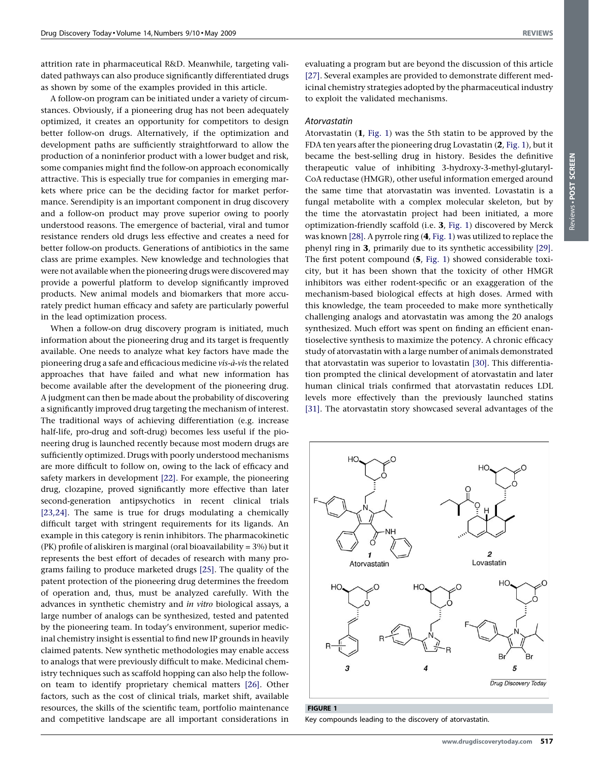attrition rate in pharmaceutical R&D. Meanwhile, targeting validated pathways can also produce significantly differentiated drugs as shown by some of the examples provided in this article.

A follow-on program can be initiated under a variety of circumstances. Obviously, if a pioneering drug has not been adequately optimized, it creates an opportunity for competitors to design better follow-on drugs. Alternatively, if the optimization and development paths are sufficiently straightforward to allow the production of a noninferior product with a lower budget and risk, some companies might find the follow-on approach economically attractive. This is especially true for companies in emerging markets where price can be the deciding factor for market performance. Serendipity is an important component in drug discovery and a follow-on product may prove superior owing to poorly understood reasons. The emergence of bacterial, viral and tumor resistance renders old drugs less effective and creates a need for better follow-on products. Generations of antibiotics in the same class are prime examples. New knowledge and technologies that were not available when the pioneering drugs were discovered may provide a powerful platform to develop significantly improved products. New animal models and biomarkers that more accurately predict human efficacy and safety are particularly powerful in the lead optimization process.

When a follow-on drug discovery program is initiated, much information about the pioneering drug and its target is frequently available. One needs to analyze what key factors have made the pioneering drug a safe and efficacious medicine vis-à-vis the related approaches that have failed and what new information has become available after the development of the pioneering drug. A judgment can then be made about the probability of discovering a significantly improved drug targeting the mechanism of interest. The traditional ways of achieving differentiation (e.g. increase half-life, pro-drug and soft-drug) becomes less useful if the pioneering drug is launched recently because most modern drugs are sufficiently optimized. Drugs with poorly understood mechanisms are more difficult to follow on, owing to the lack of efficacy and safety markers in development [\[22\].](#page-6-0) For example, the pioneering drug, clozapine, proved significantly more effective than later second-generation antipsychotics in recent clinical trials [\[23,24\]](#page-6-0). The same is true for drugs modulating a chemically difficult target with stringent requirements for its ligands. An example in this category is renin inhibitors. The pharmacokinetic (PK) profile of aliskiren is marginal (oral bioavailability = 3%) but it represents the best effort of decades of research with many programs failing to produce marketed drugs [\[25\].](#page-6-0) The quality of the patent protection of the pioneering drug determines the freedom of operation and, thus, must be analyzed carefully. With the advances in synthetic chemistry and in vitro biological assays, a large number of analogs can be synthesized, tested and patented by the pioneering team. In today's environment, superior medicinal chemistry insight is essential to find new IP grounds in heavily claimed patents. New synthetic methodologies may enable access to analogs that were previously difficult to make. Medicinal chemistry techniques such as scaffold hopping can also help the followon team to identify proprietary chemical matters [\[26\]](#page-6-0). Other factors, such as the cost of clinical trials, market shift, available resources, the skills of the scientific team, portfolio maintenance and competitive landscape are all important considerations in

evaluating a program but are beyond the discussion of this article [\[27\].](#page-6-0) Several examples are provided to demonstrate different medicinal chemistry strategies adopted by the pharmaceutical industry to exploit the validated mechanisms.

#### Atorvastatin

Atorvastatin (1, Fig. 1) was the 5th statin to be approved by the FDA ten years after the pioneering drug Lovastatin (2, Fig. 1), but it became the best-selling drug in history. Besides the definitive therapeutic value of inhibiting 3-hydroxy-3-methyl-glutaryl-CoA reductase (HMGR), other useful information emerged around the same time that atorvastatin was invented. Lovastatin is a fungal metabolite with a complex molecular skeleton, but by the time the atorvastatin project had been initiated, a more optimization-friendly scaffold (i.e. 3, Fig. 1) discovered by Merck was known [\[28\]](#page-6-0). A pyrrole ring (4, Fig. 1) was utilized to replace the phenyl ring in 3, primarily due to its synthetic accessibility [\[29\].](#page-6-0) The first potent compound (5, Fig. 1) showed considerable toxicity, but it has been shown that the toxicity of other HMGR inhibitors was either rodent-specific or an exaggeration of the mechanism-based biological effects at high doses. Armed with this knowledge, the team proceeded to make more synthetically challenging analogs and atorvastatin was among the 20 analogs synthesized. Much effort was spent on finding an efficient enantioselective synthesis to maximize the potency. A chronic efficacy study of atorvastatin with a large number of animals demonstrated that atorvastatin was superior to lovastatin [\[30\].](#page-6-0) This differentiation prompted the clinical development of atorvastatin and later human clinical trials confirmed that atorvastatin reduces LDL levels more effectively than the previously launched statins [\[31\].](#page-6-0) The atorvastatin story showcased several advantages of the



#### Key compounds leading to the discovery of atorvastatin.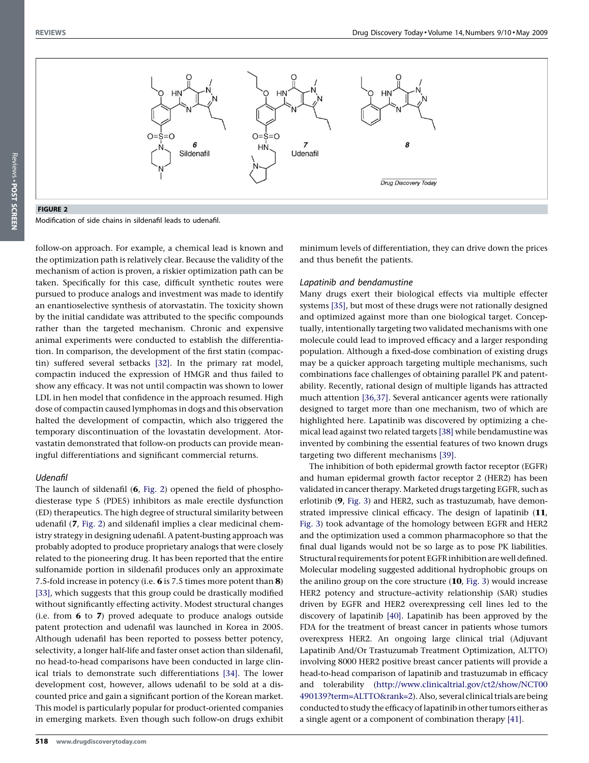FIGURE 2



Modification of side chains in sildenafil leads to udenafil.

follow-on approach. For example, a chemical lead is known and the optimization path is relatively clear. Because the validity of the mechanism of action is proven, a riskier optimization path can be taken. Specifically for this case, difficult synthetic routes were pursued to produce analogs and investment was made to identify an enantioselective synthesis of atorvastatin. The toxicity shown by the initial candidate was attributed to the specific compounds rather than the targeted mechanism. Chronic and expensive animal experiments were conducted to establish the differentiation. In comparison, the development of the first statin (compactin) suffered several setbacks [\[32\].](#page-6-0) In the primary rat model, compactin induced the expression of HMGR and thus failed to show any efficacy. It was not until compactin was shown to lower LDL in hen model that confidence in the approach resumed. High dose of compactin caused lymphomas in dogs and this observation halted the development of compactin, which also triggered the temporary discontinuation of the lovastatin development. Atorvastatin demonstrated that follow-on products can provide meaningful differentiations and significant commercial returns.

# Udenafil

The launch of sildenafil (6, Fig. 2) opened the field of phosphodiesterase type 5 (PDE5) inhibitors as male erectile dysfunction (ED) therapeutics. The high degree of structural similarity between udenafil (7, Fig. 2) and sildenafil implies a clear medicinal chemistry strategy in designing udenafil. A patent-busting approach was probably adopted to produce proprietary analogs that were closely related to the pioneering drug. It has been reported that the entire sulfonamide portion in sildenafil produces only an approximate 7.5-fold increase in potency (i.e. 6 is 7.5 times more potent than 8) [\[33\]](#page-6-0), which suggests that this group could be drastically modified without significantly effecting activity. Modest structural changes (i.e. from 6 to 7) proved adequate to produce analogs outside patent protection and udenafil was launched in Korea in 2005. Although udenafil has been reported to possess better potency, selectivity, a longer half-life and faster onset action than sildenafil, no head-to-head comparisons have been conducted in large clinical trials to demonstrate such differentiations [\[34\]](#page-6-0). The lower development cost, however, allows udenafil to be sold at a discounted price and gain a significant portion of the Korean market. This model is particularly popular for product-oriented companies in emerging markets. Even though such follow-on drugs exhibit

minimum levels of differentiation, they can drive down the prices and thus benefit the patients.

### Lapatinib and bendamustine

Many drugs exert their biological effects via multiple effecter systems [\[35\],](#page-6-0) but most of these drugs were not rationally designed and optimized against more than one biological target. Conceptually, intentionally targeting two validated mechanisms with one molecule could lead to improved efficacy and a larger responding population. Although a fixed-dose combination of existing drugs may be a quicker approach targeting multiple mechanisms, such combinations face challenges of obtaining parallel PK and patentability. Recently, rational design of multiple ligands has attracted much attention [\[36,37\]](#page-6-0). Several anticancer agents were rationally designed to target more than one mechanism, two of which are highlighted here. Lapatinib was discovered by optimizing a chemical lead against two related targets [\[38\]](#page-6-0) while bendamustine was invented by combining the essential features of two known drugs targeting two different mechanisms [\[39\]](#page-6-0).

The inhibition of both epidermal growth factor receptor (EGFR) and human epidermal growth factor receptor 2 (HER2) has been validated in cancer therapy. Marketed drugs targeting EGFR, such as erlotinib (9, [Fig. 3\)](#page-3-0) and HER2, such as trastuzumab, have demonstrated impressive clinical efficacy. The design of lapatinib (11, [Fig. 3](#page-3-0)) took advantage of the homology between EGFR and HER2 and the optimization used a common pharmacophore so that the final dual ligands would not be so large as to pose PK liabilities. Structural requirements for potent EGFR inhibition are well defined. Molecular modeling suggested additional hydrophobic groups on the anilino group on the core structure  $(10, Fig. 3)$  $(10, Fig. 3)$  $(10, Fig. 3)$  would increase HER2 potency and structure–activity relationship (SAR) studies driven by EGFR and HER2 overexpressing cell lines led to the discovery of lapatinib [\[40\]](#page-6-0). Lapatinib has been approved by the FDA for the treatment of breast cancer in patients whose tumors overexpress HER2. An ongoing large clinical trial (Adjuvant Lapatinib And/Or Trastuzumab Treatment Optimization, ALTTO) involving 8000 HER2 positive breast cancer patients will provide a head-to-head comparison of lapatinib and trastuzumab in efficacy and tolerability ([http://www.clinicaltrial.gov/ct2/show/NCT00](http://www.clinicaltrial.gov/ct2/show/NCT00490139%3Fterm=ALTTO%26rank=2) [490139?term=ALTTO&rank=2](http://www.clinicaltrial.gov/ct2/show/NCT00490139%3Fterm=ALTTO%26rank=2)). Also, several clinical trials are being conducted to study the efficacy of lapatinib in other tumors either as a single agent or a component of combination therapy [\[41\].](#page-6-0)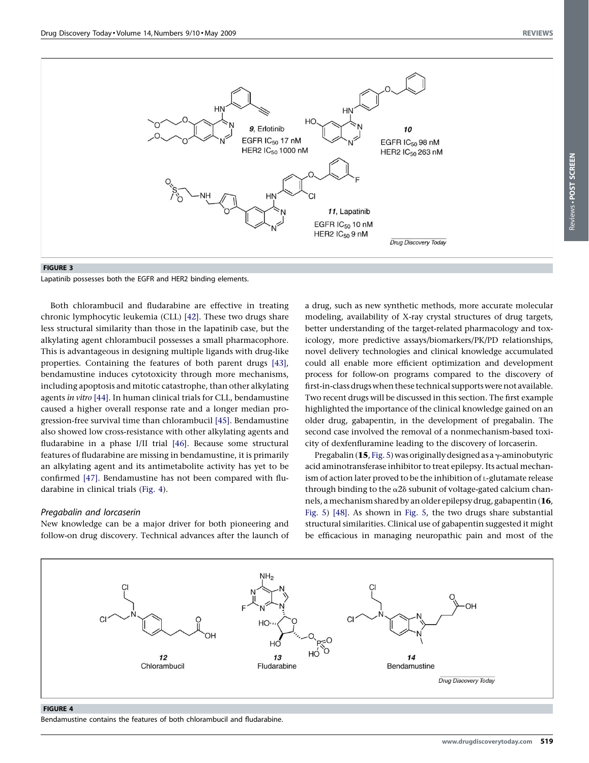Reviews -

POST SCREEN

Reviews . POST SCREEN

<span id="page-3-0"></span>

#### FIGURE 3

Lapatinib possesses both the EGFR and HER2 binding elements.

Both chlorambucil and fludarabine are effective in treating chronic lymphocytic leukemia (CLL) [\[42\].](#page-6-0) These two drugs share less structural similarity than those in the lapatinib case, but the alkylating agent chlorambucil possesses a small pharmacophore. This is advantageous in designing multiple ligands with drug-like properties. Containing the features of both parent drugs [\[43\],](#page-6-0) bendamustine induces cytotoxicity through more mechanisms, including apoptosis and mitotic catastrophe, than other alkylating agents in vitro [\[44\].](#page-6-0) In human clinical trials for CLL, bendamustine caused a higher overall response rate and a longer median progression-free survival time than chlorambucil [\[45\]](#page-6-0). Bendamustine also showed low cross-resistance with other alkylating agents and fludarabine in a phase I/II trial [\[46\].](#page-6-0) Because some structural features of fludarabine are missing in bendamustine, it is primarily an alkylating agent and its antimetabolite activity has yet to be confirmed [\[47\].](#page-6-0) Bendamustine has not been compared with fludarabine in clinical trials (Fig. 4).

#### Pregabalin and lorcaserin

New knowledge can be a major driver for both pioneering and follow-on drug discovery. Technical advances after the launch of a drug, such as new synthetic methods, more accurate molecular modeling, availability of X-ray crystal structures of drug targets, better understanding of the target-related pharmacology and toxicology, more predictive assays/biomarkers/PK/PD relationships, novel delivery technologies and clinical knowledge accumulated could all enable more efficient optimization and development process for follow-on programs compared to the discovery of first-in-class drugs when these technical supports were not available. Two recent drugs will be discussed in this section. The first example highlighted the importance of the clinical knowledge gained on an older drug, gabapentin, in the development of pregabalin. The second case involved the removal of a nonmechanism-based toxicity of dexfenfluramine leading to the discovery of lorcaserin.

Pregabalin (15, [Fig. 5](#page-4-0)) was originally designed as a  $\gamma$ -aminobutyric acid aminotransferase inhibitor to treat epilepsy. Its actual mechanism of action later proved to be the inhibition of L-glutamate release through binding to the  $\alpha$ 2 $\delta$  subunit of voltage-gated calcium channels, amechanism shared by an older epilepsy drug, gabapentin (16, [Fig. 5\)](#page-4-0) [\[48\]](#page-6-0). As shown in [Fig. 5,](#page-4-0) the two drugs share substantial structural similarities. Clinical use of gabapentin suggested it might be efficacious in managing neuropathic pain and most of the



#### Bendamustine contains the features of both chlorambucil and fludarabine.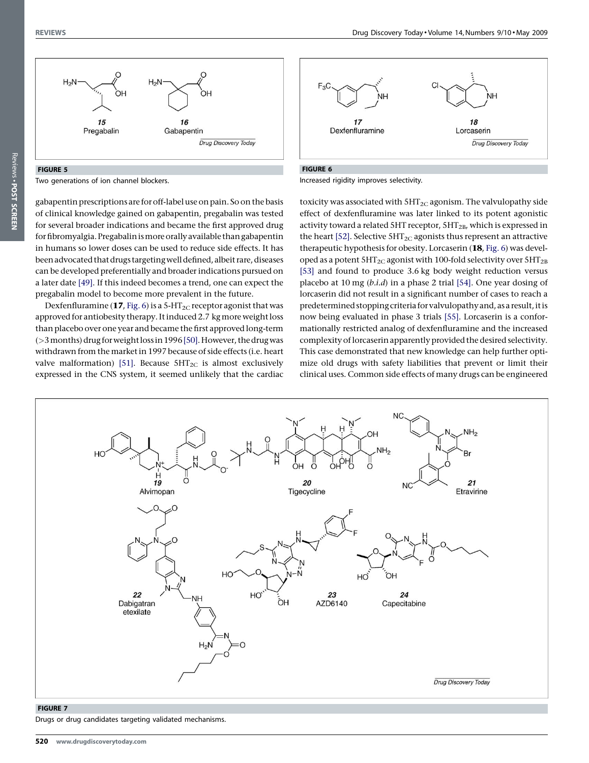<span id="page-4-0"></span>

#### FIGURE 5

Reviews . POST SCREEN

Two generations of ion channel blockers.

gabapentin prescriptions are for off-label use on pain. So on the basis of clinical knowledge gained on gabapentin, pregabalin was tested for several broader indications and became the first approved drug for fibromyalgia. Pregabalin ismore orally available than gabapentin in humans so lower doses can be used to reduce side effects. It has been advocated thatdrugs targetingwell defined, albeit rare, diseases can be developed preferentially and broader indications pursued on a later date [\[49\]](#page-6-0). If this indeed becomes a trend, one can expect the pregabalin model to become more prevalent in the future.

Dexfenfluramine (17, Fig. 6) is a 5-HT<sub>2C</sub> receptor agonist that was approved for antiobesity therapy. It induced 2.7 kg more weight loss than placebo over one year and became the first approved long-term (>3months) drug forweight loss in 1996[\[50\].](#page-6-0)However, the drugwas withdrawn from the market in 1997 because of side effects (i.e. heart valve malformation) [\[51\].](#page-6-0) Because  $5HT_{2C}$  is almost exclusively expressed in the CNS system, it seemed unlikely that the cardiac



# FIGURE 6

Increased rigidity improves selectivity.

toxicity was associated with  $5HT_{2C}$  agonism. The valvulopathy side effect of dexfenfluramine was later linked to its potent agonistic activity toward a related 5HT receptor,  $5HT_{2B}$ , which is expressed in the heart [\[52\].](#page-6-0) Selective  $5HT_{2C}$  agonists thus represent an attractive therapeutic hypothesis for obesity. Lorcaserin (18, Fig. 6) was developed as a potent  $5HT_{2C}$  agonist with 100-fold selectivity over  $5HT_{2B}$ [\[53\]](#page-6-0) and found to produce 3.6 kg body weight reduction versus placebo at 10 mg (b.i.d) in a phase 2 trial [\[54\].](#page-6-0) One year dosing of lorcaserin did not result in a significant number of cases to reach a predetermined stoppingcriteria for valvulopathy and, as a result, it is now being evaluated in phase 3 trials [\[55\]](#page-6-0). Lorcaserin is a conformationally restricted analog of dexfenfluramine and the increased complexity of lorcaserin apparently provided the desired selectivity. This case demonstrated that new knowledge can help further optimize old drugs with safety liabilities that prevent or limit their clinical uses. Common side effects of many drugs can be engineered



Drugs or drug candidates targeting validated mechanisms.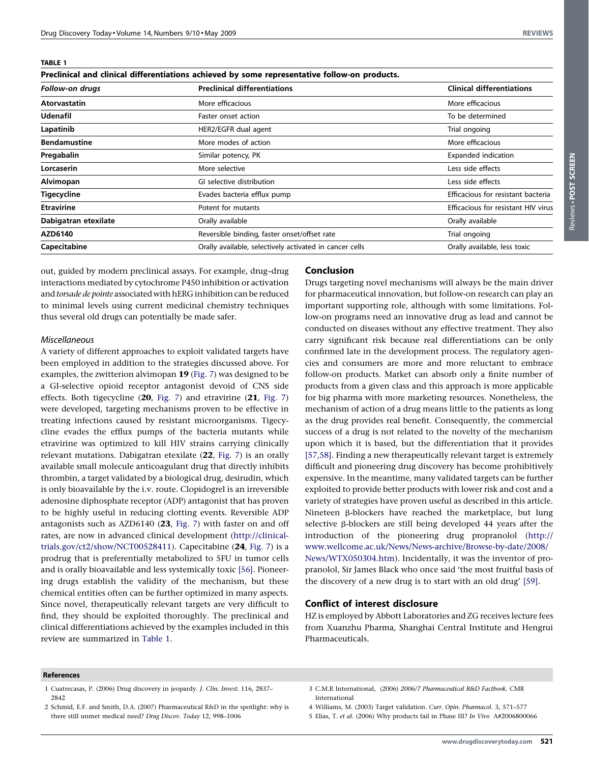Reviews -

 POST SCREENiews.POST SCREEN

| Preclinical and clinical differentiations achieved by some representative follow-on products. |                                                         |                                     |
|-----------------------------------------------------------------------------------------------|---------------------------------------------------------|-------------------------------------|
| Follow-on drugs                                                                               | <b>Preclinical differentiations</b>                     | <b>Clinical differentiations</b>    |
| <b>Atorvastatin</b>                                                                           | More efficacious                                        | More efficacious                    |
| <b>Udenafil</b>                                                                               | Faster onset action                                     | To be determined                    |
| Lapatinib                                                                                     | HER2/EGFR dual agent                                    | Trial ongoing                       |
| <b>Bendamustine</b>                                                                           | More modes of action                                    | More efficacious                    |
| Pregabalin                                                                                    | Similar potency, PK                                     | Expanded indication                 |
| Lorcaserin                                                                                    | More selective                                          | Less side effects                   |
| Alvimopan                                                                                     | GI selective distribution                               | Less side effects                   |
| <b>Tigecycline</b>                                                                            | Evades bacteria efflux pump                             | Efficacious for resistant bacteria  |
| <b>Etravirine</b>                                                                             | Potent for mutants                                      | Efficacious for resistant HIV virus |
| Dabigatran etexilate                                                                          | Orally available                                        | Orally available                    |
| AZD6140                                                                                       | Reversible binding, faster onset/offset rate            | Trial ongoing                       |
| <b>Capecitabine</b>                                                                           | Orally available, selectively activated in cancer cells | Orally available, less toxic        |
|                                                                                               |                                                         |                                     |

out, guided by modern preclinical assays. For example, drug–drug interactions mediated by cytochrome P450 inhibition or activation and torsade de pointe associated with hERG inhibition can be reduced to minimal levels using current medicinal chemistry techniques thus several old drugs can potentially be made safer.

#### Miscellaneous

<span id="page-5-0"></span>TABLE 1

A variety of different approaches to exploit validated targets have been employed in addition to the strategies discussed above. For examples, the zwitterion alvimopan 19 [\(Fig. 7](#page-4-0)) was designed to be a GI-selective opioid receptor antagonist devoid of CNS side effects. Both tigecycline (20, [Fig. 7\)](#page-4-0) and etravirine (21, [Fig. 7](#page-4-0)) were developed, targeting mechanisms proven to be effective in treating infections caused by resistant microorganisms. Tigecycline evades the efflux pumps of the bacteria mutants while etravirine was optimized to kill HIV strains carrying clinically relevant mutations. Dabigatran etexilate (22, [Fig. 7](#page-4-0)) is an orally available small molecule anticoagulant drug that directly inhibits thrombin, a target validated by a biological drug, desirudin, which is only bioavailable by the i.v. route. Clopidogrel is an irreversible adenosine diphosphate receptor (ADP) antagonist that has proven to be highly useful in reducing clotting events. Reversible ADP antagonists such as AZD6140 (23, [Fig. 7](#page-4-0)) with faster on and off rates, are now in advanced clinical development ([http://clinical](http://clinicaltrials.gov/ct2/show/NCT00528411)[trials.gov/ct2/show/NCT00528411](http://clinicaltrials.gov/ct2/show/NCT00528411)). Capecitabine (24, [Fig. 7\)](#page-4-0) is a prodrug that is preferentially metabolized to 5FU in tumor cells and is orally bioavailable and less systemically toxic [\[56\]](#page-6-0). Pioneering drugs establish the validity of the mechanism, but these chemical entities often can be further optimized in many aspects. Since novel, therapeutically relevant targets are very difficult to find, they should be exploited thoroughly. The preclinical and clinical differentiations achieved by the examples included in this review are summarized in Table 1.

# Conclusion

Drugs targeting novel mechanisms will always be the main driver for pharmaceutical innovation, but follow-on research can play an important supporting role, although with some limitations. Follow-on programs need an innovative drug as lead and cannot be conducted on diseases without any effective treatment. They also carry significant risk because real differentiations can be only confirmed late in the development process. The regulatory agencies and consumers are more and more reluctant to embrace follow-on products. Market can absorb only a finite number of products from a given class and this approach is more applicable for big pharma with more marketing resources. Nonetheless, the mechanism of action of a drug means little to the patients as long as the drug provides real benefit. Consequently, the commercial success of a drug is not related to the novelty of the mechanism upon which it is based, but the differentiation that it provides [\[57,58\]](#page-6-0). Finding a new therapeutically relevant target is extremely difficult and pioneering drug discovery has become prohibitively expensive. In the meantime, many validated targets can be further exploited to provide better products with lower risk and cost and a variety of strategies have proven useful as described in this article. Nineteen  $\beta$ -blockers have reached the marketplace, but lung selective  $\beta$ -blockers are still being developed 44 years after the introduction of the pioneering drug propranolol [\(http://](http://www.wellcome.ac.uk/News/News-archive/Browse-by-date/2008/News/WTX050304.htm) [www.wellcome.ac.uk/News/News-archive/Browse-by-date/2008/](http://www.wellcome.ac.uk/News/News-archive/Browse-by-date/2008/News/WTX050304.htm) [News/WTX050304.htm\)](http://www.wellcome.ac.uk/News/News-archive/Browse-by-date/2008/News/WTX050304.htm). Incidentally, it was the inventor of propranolol, Sir James Black who once said 'the most fruitful basis of the discovery of a new drug is to start with an old drug' [\[59\].](#page-6-0)

# Conflict of interest disclosure

HZ is employed by Abbott Laboratories and ZG receives lecture fees from Xuanzhu Pharma, Shanghai Central Institute and Hengrui Pharmaceuticals.

#### References

- 1 Cuatrecasas, P. (2006) Drug discovery in jeopardy. J. Clin. Invest. 116, 2837– 2842
- 2 Schmid, E.F. and Smith, D.A. (2007) Pharmaceutical R&D in the spotlight: why is there still unmet medical need? Drug Discov. Today 12, 998–1006
- 3 C.M.R International, (2006) 2006/7 Pharmaceutical R&D Factbook. CMR International
- 4 Williams, M. (2003) Target validation. Curr. Opin. Pharmacol. 3, 571–577
- 5 Elias, T. et al. (2006) Why products fail in Phase III? In Vivo A#2006800066